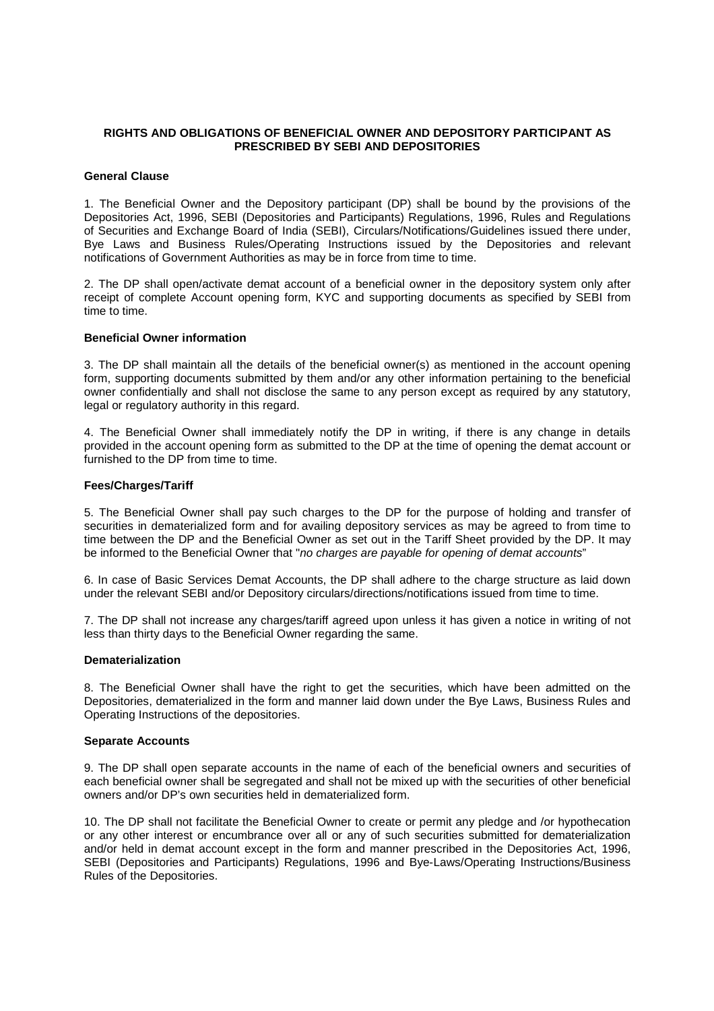# **RIGHTS AND OBLIGATIONS OF BENEFICIAL OWNER AND DEPOSITORY PARTICIPANT AS PRESCRIBED BY SEBI AND DEPOSITORIES**

#### **General Clause**

1. The Beneficial Owner and the Depository participant (DP) shall be bound by the provisions of the Depositories Act, 1996, SEBI (Depositories and Participants) Regulations, 1996, Rules and Regulations of Securities and Exchange Board of India (SEBI), Circulars/Notifications/Guidelines issued there under, Bye Laws and Business Rules/Operating Instructions issued by the Depositories and relevant notifications of Government Authorities as may be in force from time to time.

2. The DP shall open/activate demat account of a beneficial owner in the depository system only after receipt of complete Account opening form, KYC and supporting documents as specified by SEBI from time to time.

## **Beneficial Owner information**

3. The DP shall maintain all the details of the beneficial owner(s) as mentioned in the account opening form, supporting documents submitted by them and/or any other information pertaining to the beneficial owner confidentially and shall not disclose the same to any person except as required by any statutory, legal or regulatory authority in this regard.

4. The Beneficial Owner shall immediately notify the DP in writing, if there is any change in details provided in the account opening form as submitted to the DP at the time of opening the demat account or furnished to the DP from time to time.

### **Fees/Charges/Tariff**

5. The Beneficial Owner shall pay such charges to the DP for the purpose of holding and transfer of securities in dematerialized form and for availing depository services as may be agreed to from time to time between the DP and the Beneficial Owner as set out in the Tariff Sheet provided by the DP. It may be informed to the Beneficial Owner that "no charges are payable for opening of demat accounts"

6. In case of Basic Services Demat Accounts, the DP shall adhere to the charge structure as laid down under the relevant SEBI and/or Depository circulars/directions/notifications issued from time to time.

7. The DP shall not increase any charges/tariff agreed upon unless it has given a notice in writing of not less than thirty days to the Beneficial Owner regarding the same.

#### **Dematerialization**

8. The Beneficial Owner shall have the right to get the securities, which have been admitted on the Depositories, dematerialized in the form and manner laid down under the Bye Laws, Business Rules and Operating Instructions of the depositories.

## **Separate Accounts**

9. The DP shall open separate accounts in the name of each of the beneficial owners and securities of each beneficial owner shall be segregated and shall not be mixed up with the securities of other beneficial owners and/or DP's own securities held in dematerialized form.

10. The DP shall not facilitate the Beneficial Owner to create or permit any pledge and /or hypothecation or any other interest or encumbrance over all or any of such securities submitted for dematerialization and/or held in demat account except in the form and manner prescribed in the Depositories Act, 1996, SEBI (Depositories and Participants) Regulations, 1996 and Bye-Laws/Operating Instructions/Business Rules of the Depositories.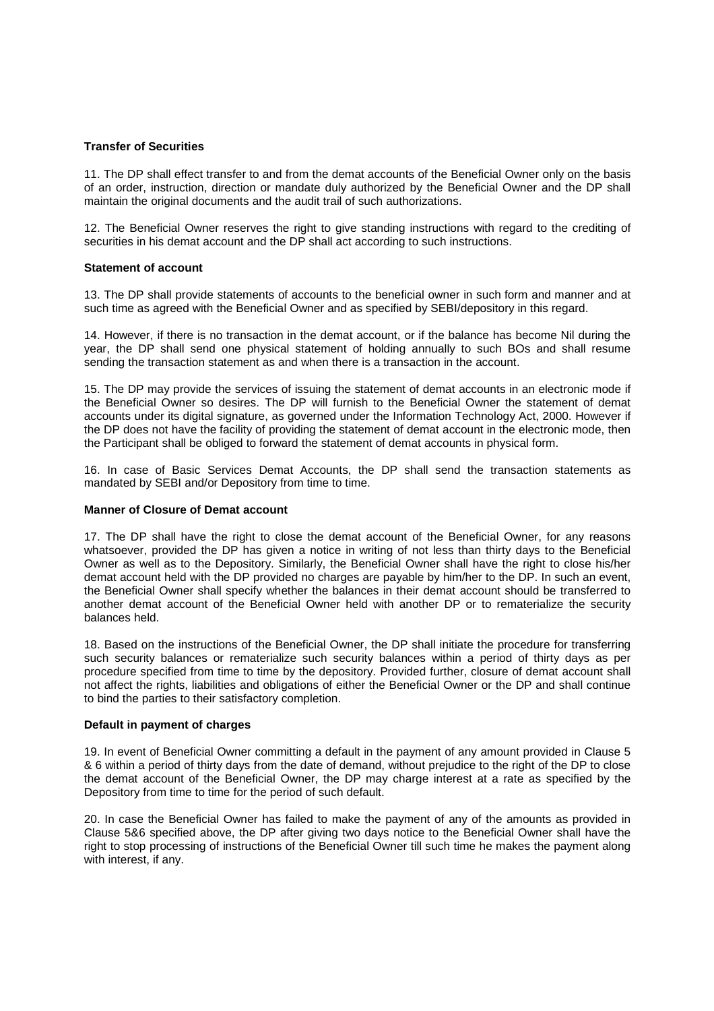### **Transfer of Securities**

11. The DP shall effect transfer to and from the demat accounts of the Beneficial Owner only on the basis of an order, instruction, direction or mandate duly authorized by the Beneficial Owner and the DP shall maintain the original documents and the audit trail of such authorizations.

12. The Beneficial Owner reserves the right to give standing instructions with regard to the crediting of securities in his demat account and the DP shall act according to such instructions.

### **Statement of account**

13. The DP shall provide statements of accounts to the beneficial owner in such form and manner and at such time as agreed with the Beneficial Owner and as specified by SEBI/depository in this regard.

14. However, if there is no transaction in the demat account, or if the balance has become Nil during the year, the DP shall send one physical statement of holding annually to such BOs and shall resume sending the transaction statement as and when there is a transaction in the account.

15. The DP may provide the services of issuing the statement of demat accounts in an electronic mode if the Beneficial Owner so desires. The DP will furnish to the Beneficial Owner the statement of demat accounts under its digital signature, as governed under the Information Technology Act, 2000. However if the DP does not have the facility of providing the statement of demat account in the electronic mode, then the Participant shall be obliged to forward the statement of demat accounts in physical form.

16. In case of Basic Services Demat Accounts, the DP shall send the transaction statements as mandated by SEBI and/or Depository from time to time.

#### **Manner of Closure of Demat account**

17. The DP shall have the right to close the demat account of the Beneficial Owner, for any reasons whatsoever, provided the DP has given a notice in writing of not less than thirty days to the Beneficial Owner as well as to the Depository. Similarly, the Beneficial Owner shall have the right to close his/her demat account held with the DP provided no charges are payable by him/her to the DP. In such an event, the Beneficial Owner shall specify whether the balances in their demat account should be transferred to another demat account of the Beneficial Owner held with another DP or to rematerialize the security balances held.

18. Based on the instructions of the Beneficial Owner, the DP shall initiate the procedure for transferring such security balances or rematerialize such security balances within a period of thirty days as per procedure specified from time to time by the depository. Provided further, closure of demat account shall not affect the rights, liabilities and obligations of either the Beneficial Owner or the DP and shall continue to bind the parties to their satisfactory completion.

## **Default in payment of charges**

19. In event of Beneficial Owner committing a default in the payment of any amount provided in Clause 5 & 6 within a period of thirty days from the date of demand, without prejudice to the right of the DP to close the demat account of the Beneficial Owner, the DP may charge interest at a rate as specified by the Depository from time to time for the period of such default.

20. In case the Beneficial Owner has failed to make the payment of any of the amounts as provided in Clause 5&6 specified above, the DP after giving two days notice to the Beneficial Owner shall have the right to stop processing of instructions of the Beneficial Owner till such time he makes the payment along with interest, if any.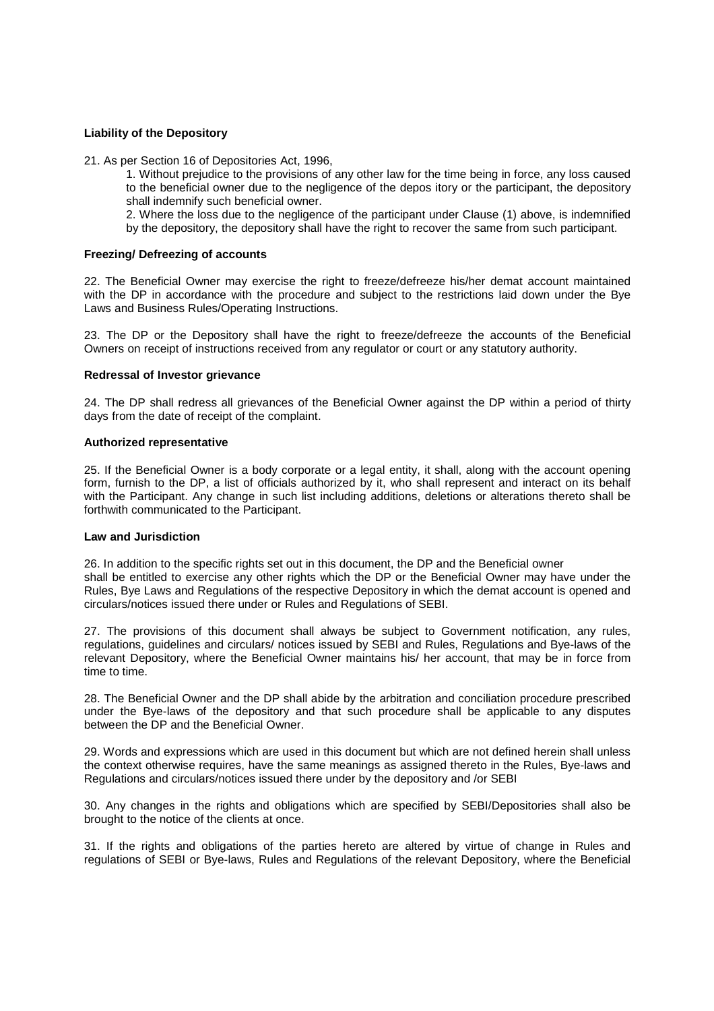## **Liability of the Depository**

21. As per Section 16 of Depositories Act, 1996,

1. Without prejudice to the provisions of any other law for the time being in force, any loss caused to the beneficial owner due to the negligence of the depos itory or the participant, the depository shall indemnify such beneficial owner.

2. Where the loss due to the negligence of the participant under Clause (1) above, is indemnified by the depository, the depository shall have the right to recover the same from such participant.

#### **Freezing/ Defreezing of accounts**

22. The Beneficial Owner may exercise the right to freeze/defreeze his/her demat account maintained with the DP in accordance with the procedure and subject to the restrictions laid down under the Bye Laws and Business Rules/Operating Instructions.

23. The DP or the Depository shall have the right to freeze/defreeze the accounts of the Beneficial Owners on receipt of instructions received from any regulator or court or any statutory authority.

#### **Redressal of Investor grievance**

24. The DP shall redress all grievances of the Beneficial Owner against the DP within a period of thirty days from the date of receipt of the complaint.

#### **Authorized representative**

25. If the Beneficial Owner is a body corporate or a legal entity, it shall, along with the account opening form, furnish to the DP, a list of officials authorized by it, who shall represent and interact on its behalf with the Participant. Any change in such list including additions, deletions or alterations thereto shall be forthwith communicated to the Participant.

#### **Law and Jurisdiction**

26. In addition to the specific rights set out in this document, the DP and the Beneficial owner shall be entitled to exercise any other rights which the DP or the Beneficial Owner may have under the Rules, Bye Laws and Regulations of the respective Depository in which the demat account is opened and circulars/notices issued there under or Rules and Regulations of SEBI.

27. The provisions of this document shall always be subject to Government notification, any rules, regulations, guidelines and circulars/ notices issued by SEBI and Rules, Regulations and Bye-laws of the relevant Depository, where the Beneficial Owner maintains his/ her account, that may be in force from time to time.

28. The Beneficial Owner and the DP shall abide by the arbitration and conciliation procedure prescribed under the Bye-laws of the depository and that such procedure shall be applicable to any disputes between the DP and the Beneficial Owner.

29. Words and expressions which are used in this document but which are not defined herein shall unless the context otherwise requires, have the same meanings as assigned thereto in the Rules, Bye-laws and Regulations and circulars/notices issued there under by the depository and /or SEBI

30. Any changes in the rights and obligations which are specified by SEBI/Depositories shall also be brought to the notice of the clients at once.

31. If the rights and obligations of the parties hereto are altered by virtue of change in Rules and regulations of SEBI or Bye-laws, Rules and Regulations of the relevant Depository, where the Beneficial